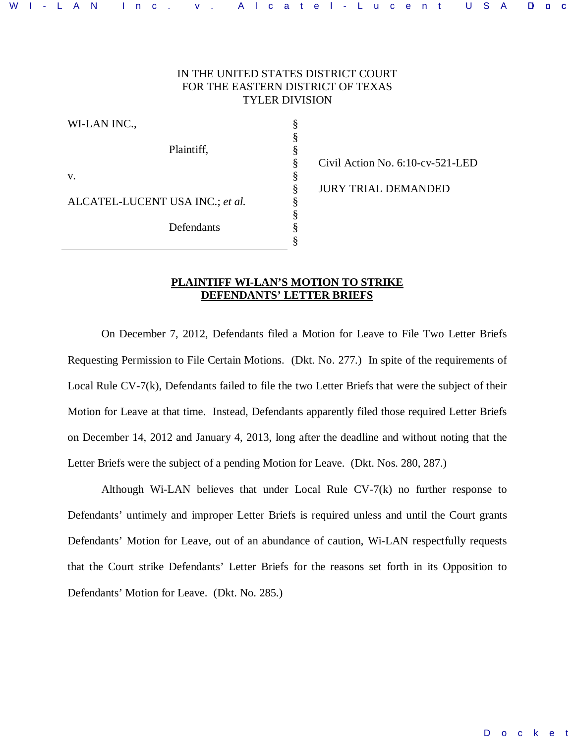# IN THE UNITED STATES DISTRICT COURT FOR THE EASTERN DISTRICT OF TEXAS TYLER DIVISION

§ § § § § § § § § §

WI-LAN INC., Plaintiff, v. ALCATEL-LUCENT USA INC.; *et al.*  Defendants

Civil Action No. 6:10-cv-521-LED JURY TRIAL DEMANDED

### **PLAINTIFF WI-LAN'S MOTION TO STRIKE DEFENDANTS' LETTER BRIEFS**

On December 7, 2012, Defendants filed a Motion for Leave to File Two Letter Briefs Requesting Permission to File Certain Motions. (Dkt. No. 277.) In spite of the requirements of Local Rule CV-7(k), Defendants failed to file the two Letter Briefs that were the subject of their Motion for Leave at that time. Instead, Defendants apparently filed those required Letter Briefs on December 14, 2012 and January 4, 2013, long after the deadline and without noting that the Letter Briefs were the subject of a pending Motion for Leave. (Dkt. Nos. 280, 287.)

Although Wi-LAN believes that under Local Rule CV-7(k) no further response to Defendants' untimely and improper Letter Briefs is required unless and until the Court grants Defendants' Motion for Leave, out of an abundance of caution, Wi-LAN respectfully requests that the Court strike Defendants' Letter Briefs for the reasons set forth in its Opposition to Defendants' Motion for Leave. (Dkt. No. 285.)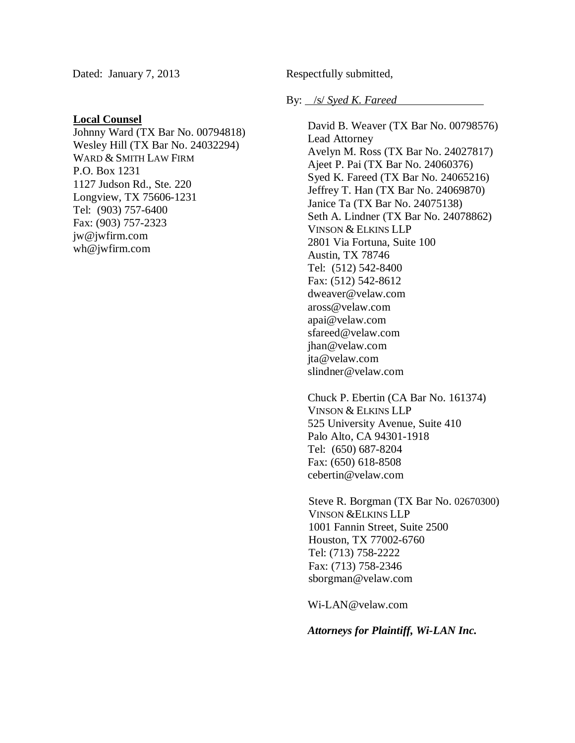Dated: January 7, 2013

## **Local Counsel**

Johnny Ward (TX Bar No. 00794818) Wesley Hill (TX Bar No. 24032294) WARD & SMITH LAW FIRM P.O. Box 1231 1127 Judson Rd., Ste. 220 Longview, TX 75606-1231 Tel: (903) 757-6400 Fax: (903) 757-2323 jw@jwfirm.com wh@jwfirm.com

Respectfully submitted,

## By: /s/ *Syed K. Fareed*

David B. Weaver (TX Bar No. 00798576) Lead Attorney Avelyn M. Ross (TX Bar No. 24027817) Ajeet P. Pai (TX Bar No. 24060376) Syed K. Fareed (TX Bar No. 24065216) Jeffrey T. Han (TX Bar No. 24069870) Janice Ta (TX Bar No. 24075138) Seth A. Lindner (TX Bar No. 24078862) VINSON & ELKINS LLP 2801 Via Fortuna, Suite 100 Austin, TX 78746 Tel: (512) 542-8400 Fax: (512) 542-8612 dweaver@velaw.com aross@velaw.com apai@velaw.com sfareed@velaw.com jhan@velaw.com jta@velaw.com slindner@velaw.com

Chuck P. Ebertin (CA Bar No. 161374) VINSON & ELKINS LLP 525 University Avenue, Suite 410 Palo Alto, CA 94301-1918 Tel: (650) 687-8204 Fax: (650) 618-8508 cebertin@velaw.com

Steve R. Borgman (TX Bar No. 02670300) VINSON &ELKINS LLP 1001 Fannin Street, Suite 2500 Houston, TX 77002-6760 Tel: (713) 758-2222 Fax: (713) 758-2346 sborgman@velaw.com

Wi-LAN@velaw.com

*Attorneys for Plaintiff, Wi-LAN Inc.*